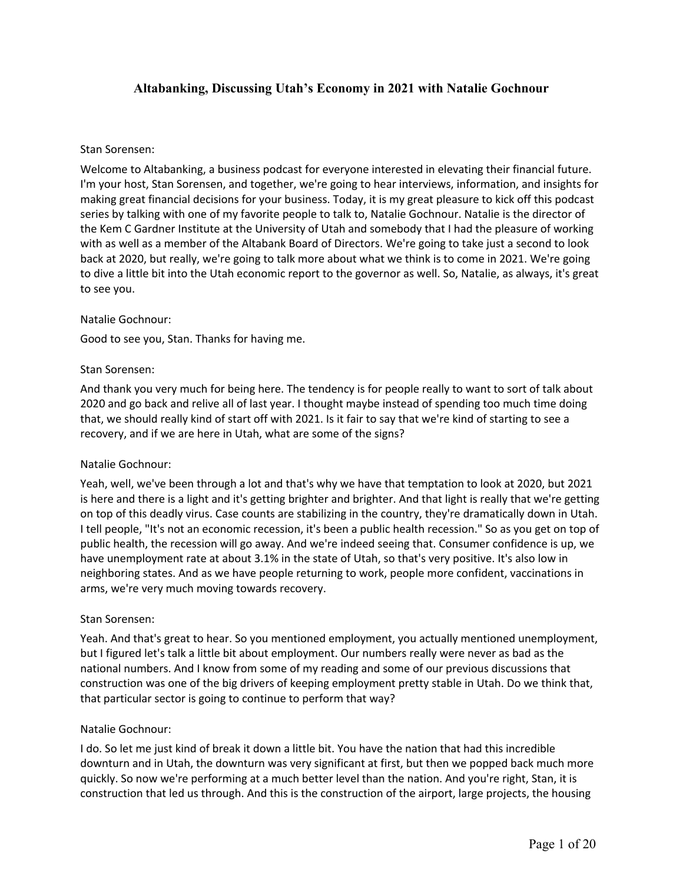# **Altabanking, Discussing Utah's Economy in 2021 with Natalie Gochnour**

### Stan Sorensen:

Welcome to Altabanking, a business podcast for everyone interested in elevating their financial future. I'm your host, Stan Sorensen, and together, we're going to hear interviews, information, and insights for making great financial decisions for your business. Today, it is my great pleasure to kick off this podcast series by talking with one of my favorite people to talk to, Natalie Gochnour. Natalie is the director of the Kem C Gardner Institute at the University of Utah and somebody that I had the pleasure of working with as well as a member of the Altabank Board of Directors. We're going to take just a second to look back at 2020, but really, we're going to talk more about what we think is to come in 2021. We're going to dive a little bit into the Utah economic report to the governor as well. So, Natalie, as always, it's great to see you.

#### Natalie Gochnour:

Good to see you, Stan. Thanks for having me.

### Stan Sorensen:

And thank you very much for being here. The tendency is for people really to want to sort of talk about 2020 and go back and relive all of last year. I thought maybe instead of spending too much time doing that, we should really kind of start off with 2021. Is it fair to say that we're kind of starting to see a recovery, and if we are here in Utah, what are some of the signs?

## Natalie Gochnour:

Yeah, well, we've been through a lot and that's why we have that temptation to look at 2020, but 2021 is here and there is a light and it's getting brighter and brighter. And that light is really that we're getting on top of this deadly virus. Case counts are stabilizing in the country, they're dramatically down in Utah. I tell people, "It's not an economic recession, it's been a public health recession." So as you get on top of public health, the recession will go away. And we're indeed seeing that. Consumer confidence is up, we have unemployment rate at about 3.1% in the state of Utah, so that's very positive. It's also low in neighboring states. And as we have people returning to work, people more confident, vaccinations in arms, we're very much moving towards recovery.

## Stan Sorensen:

Yeah. And that's great to hear. So you mentioned employment, you actually mentioned unemployment, but I figured let's talk a little bit about employment. Our numbers really were never as bad as the national numbers. And I know from some of my reading and some of our previous discussions that construction was one of the big drivers of keeping employment pretty stable in Utah. Do we think that, that particular sector is going to continue to perform that way?

#### Natalie Gochnour:

I do. So let me just kind of break it down a little bit. You have the nation that had this incredible downturn and in Utah, the downturn was very significant at first, but then we popped back much more quickly. So now we're performing at a much better level than the nation. And you're right, Stan, it is construction that led us through. And this is the construction of the airport, large projects, the housing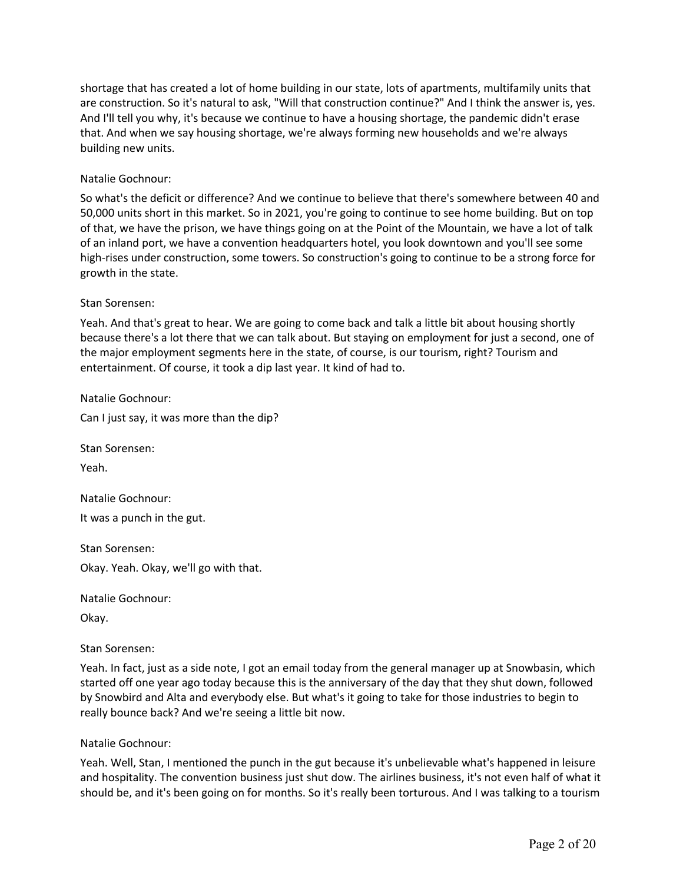shortage that has created a lot of home building in our state, lots of apartments, multifamily units that are construction. So it's natural to ask, "Will that construction continue?" And I think the answer is, yes. And I'll tell you why, it's because we continue to have a housing shortage, the pandemic didn't erase that. And when we say housing shortage, we're always forming new households and we're always building new units.

## Natalie Gochnour:

So what's the deficit or difference? And we continue to believe that there's somewhere between 40 and 50,000 units short in this market. So in 2021, you're going to continue to see home building. But on top of that, we have the prison, we have things going on at the Point of the Mountain, we have a lot of talk of an inland port, we have a convention headquarters hotel, you look downtown and you'll see some high-rises under construction, some towers. So construction's going to continue to be a strong force for growth in the state.

## Stan Sorensen:

Yeah. And that's great to hear. We are going to come back and talk a little bit about housing shortly because there's a lot there that we can talk about. But staying on employment for just a second, one of the major employment segments here in the state, of course, is our tourism, right? Tourism and entertainment. Of course, it took a dip last year. It kind of had to.

Natalie Gochnour:

Can I just say, it was more than the dip?

Stan Sorensen:

Yeah.

Natalie Gochnour: It was a punch in the gut.

Stan Sorensen:

Okay. Yeah. Okay, we'll go with that.

Natalie Gochnour:

Okay.

Stan Sorensen:

Yeah. In fact, just as a side note, I got an email today from the general manager up at Snowbasin, which started off one year ago today because this is the anniversary of the day that they shut down, followed by Snowbird and Alta and everybody else. But what's it going to take for those industries to begin to really bounce back? And we're seeing a little bit now.

#### Natalie Gochnour:

Yeah. Well, Stan, I mentioned the punch in the gut because it's unbelievable what's happened in leisure and hospitality. The convention business just shut dow. The airlines business, it's not even half of what it should be, and it's been going on for months. So it's really been torturous. And I was talking to a tourism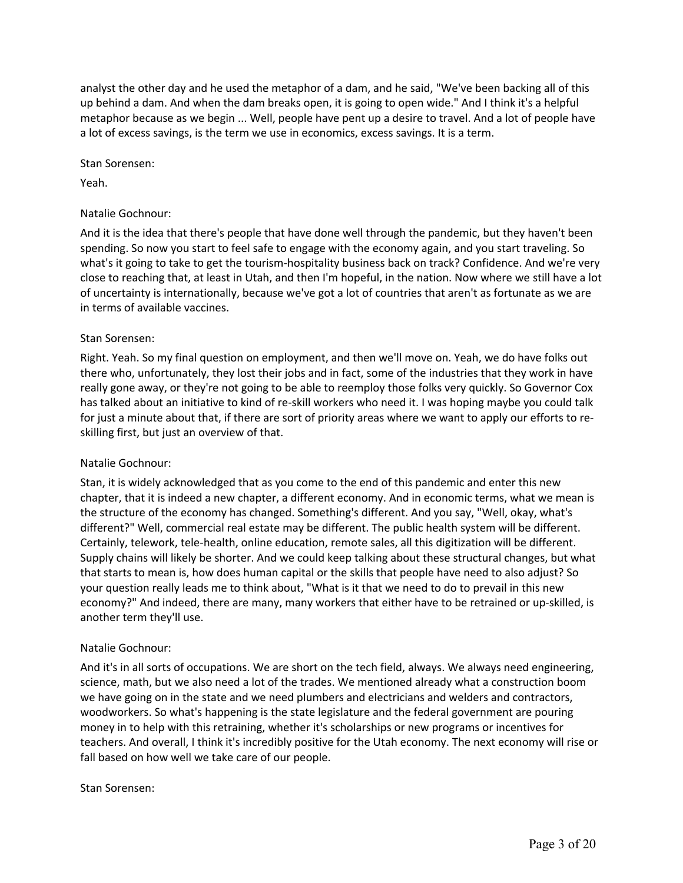analyst the other day and he used the metaphor of a dam, and he said, "We've been backing all of this up behind a dam. And when the dam breaks open, it is going to open wide." And I think it's a helpful metaphor because as we begin ... Well, people have pent up a desire to travel. And a lot of people have a lot of excess savings, is the term we use in economics, excess savings. It is a term.

Stan Sorensen:

Yeah.

### Natalie Gochnour:

And it is the idea that there's people that have done well through the pandemic, but they haven't been spending. So now you start to feel safe to engage with the economy again, and you start traveling. So what's it going to take to get the tourism-hospitality business back on track? Confidence. And we're very close to reaching that, at least in Utah, and then I'm hopeful, in the nation. Now where we still have a lot of uncertainty is internationally, because we've got a lot of countries that aren't as fortunate as we are in terms of available vaccines.

### Stan Sorensen:

Right. Yeah. So my final question on employment, and then we'll move on. Yeah, we do have folks out there who, unfortunately, they lost their jobs and in fact, some of the industries that they work in have really gone away, or they're not going to be able to reemploy those folks very quickly. So Governor Cox has talked about an initiative to kind of re-skill workers who need it. I was hoping maybe you could talk for just a minute about that, if there are sort of priority areas where we want to apply our efforts to reskilling first, but just an overview of that.

## Natalie Gochnour:

Stan, it is widely acknowledged that as you come to the end of this pandemic and enter this new chapter, that it is indeed a new chapter, a different economy. And in economic terms, what we mean is the structure of the economy has changed. Something's different. And you say, "Well, okay, what's different?" Well, commercial real estate may be different. The public health system will be different. Certainly, telework, tele-health, online education, remote sales, all this digitization will be different. Supply chains will likely be shorter. And we could keep talking about these structural changes, but what that starts to mean is, how does human capital or the skills that people have need to also adjust? So your question really leads me to think about, "What is it that we need to do to prevail in this new economy?" And indeed, there are many, many workers that either have to be retrained or up-skilled, is another term they'll use.

#### Natalie Gochnour:

And it's in all sorts of occupations. We are short on the tech field, always. We always need engineering, science, math, but we also need a lot of the trades. We mentioned already what a construction boom we have going on in the state and we need plumbers and electricians and welders and contractors, woodworkers. So what's happening is the state legislature and the federal government are pouring money in to help with this retraining, whether it's scholarships or new programs or incentives for teachers. And overall, I think it's incredibly positive for the Utah economy. The next economy will rise or fall based on how well we take care of our people.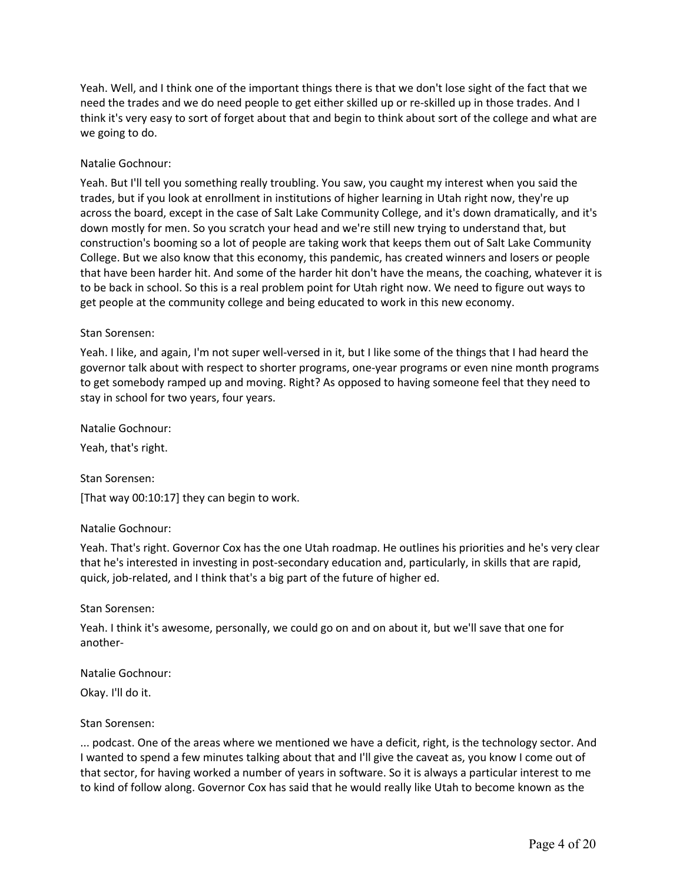Yeah. Well, and I think one of the important things there is that we don't lose sight of the fact that we need the trades and we do need people to get either skilled up or re-skilled up in those trades. And I think it's very easy to sort of forget about that and begin to think about sort of the college and what are we going to do.

### Natalie Gochnour:

Yeah. But I'll tell you something really troubling. You saw, you caught my interest when you said the trades, but if you look at enrollment in institutions of higher learning in Utah right now, they're up across the board, except in the case of Salt Lake Community College, and it's down dramatically, and it's down mostly for men. So you scratch your head and we're still new trying to understand that, but construction's booming so a lot of people are taking work that keeps them out of Salt Lake Community College. But we also know that this economy, this pandemic, has created winners and losers or people that have been harder hit. And some of the harder hit don't have the means, the coaching, whatever it is to be back in school. So this is a real problem point for Utah right now. We need to figure out ways to get people at the community college and being educated to work in this new economy.

### Stan Sorensen:

Yeah. I like, and again, I'm not super well-versed in it, but I like some of the things that I had heard the governor talk about with respect to shorter programs, one-year programs or even nine month programs to get somebody ramped up and moving. Right? As opposed to having someone feel that they need to stay in school for two years, four years.

Natalie Gochnour:

Yeah, that's right.

Stan Sorensen: [That way 00:10:17] they can begin to work.

#### Natalie Gochnour:

Yeah. That's right. Governor Cox has the one Utah roadmap. He outlines his priorities and he's very clear that he's interested in investing in post-secondary education and, particularly, in skills that are rapid, quick, job-related, and I think that's a big part of the future of higher ed.

#### Stan Sorensen:

Yeah. I think it's awesome, personally, we could go on and on about it, but we'll save that one for another-

#### Natalie Gochnour:

Okay. I'll do it.

#### Stan Sorensen:

... podcast. One of the areas where we mentioned we have a deficit, right, is the technology sector. And I wanted to spend a few minutes talking about that and I'll give the caveat as, you know I come out of that sector, for having worked a number of years in software. So it is always a particular interest to me to kind of follow along. Governor Cox has said that he would really like Utah to become known as the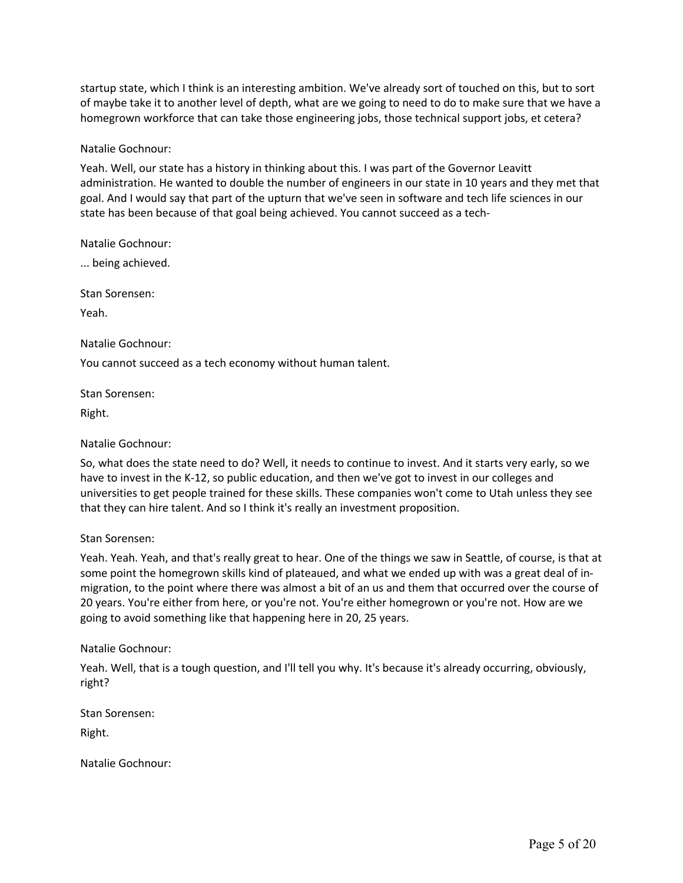startup state, which I think is an interesting ambition. We've already sort of touched on this, but to sort of maybe take it to another level of depth, what are we going to need to do to make sure that we have a homegrown workforce that can take those engineering jobs, those technical support jobs, et cetera?

### Natalie Gochnour:

Yeah. Well, our state has a history in thinking about this. I was part of the Governor Leavitt administration. He wanted to double the number of engineers in our state in 10 years and they met that goal. And I would say that part of the upturn that we've seen in software and tech life sciences in our state has been because of that goal being achieved. You cannot succeed as a tech-

Natalie Gochnour:

... being achieved.

Stan Sorensen:

Yeah.

Natalie Gochnour:

You cannot succeed as a tech economy without human talent.

Stan Sorensen:

Right.

#### Natalie Gochnour:

So, what does the state need to do? Well, it needs to continue to invest. And it starts very early, so we have to invest in the K-12, so public education, and then we've got to invest in our colleges and universities to get people trained for these skills. These companies won't come to Utah unless they see that they can hire talent. And so I think it's really an investment proposition.

#### Stan Sorensen:

Yeah. Yeah. Yeah, and that's really great to hear. One of the things we saw in Seattle, of course, is that at some point the homegrown skills kind of plateaued, and what we ended up with was a great deal of inmigration, to the point where there was almost a bit of an us and them that occurred over the course of 20 years. You're either from here, or you're not. You're either homegrown or you're not. How are we going to avoid something like that happening here in 20, 25 years.

#### Natalie Gochnour:

Yeah. Well, that is a tough question, and I'll tell you why. It's because it's already occurring, obviously, right?

Stan Sorensen:

Right.

Natalie Gochnour: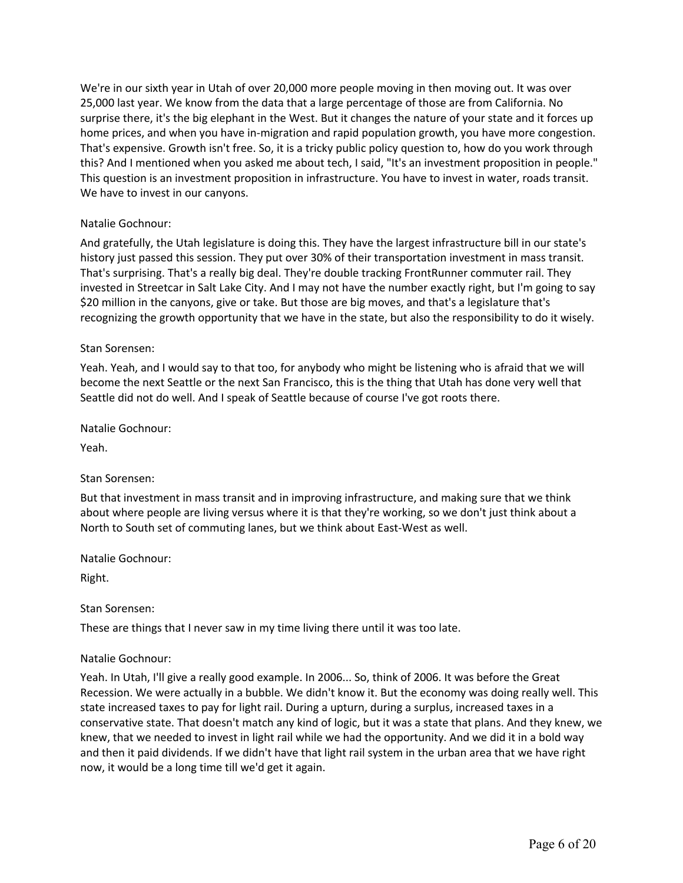We're in our sixth year in Utah of over 20,000 more people moving in then moving out. It was over 25,000 last year. We know from the data that a large percentage of those are from California. No surprise there, it's the big elephant in the West. But it changes the nature of your state and it forces up home prices, and when you have in-migration and rapid population growth, you have more congestion. That's expensive. Growth isn't free. So, it is a tricky public policy question to, how do you work through this? And I mentioned when you asked me about tech, I said, "It's an investment proposition in people." This question is an investment proposition in infrastructure. You have to invest in water, roads transit. We have to invest in our canyons.

## Natalie Gochnour:

And gratefully, the Utah legislature is doing this. They have the largest infrastructure bill in our state's history just passed this session. They put over 30% of their transportation investment in mass transit. That's surprising. That's a really big deal. They're double tracking FrontRunner commuter rail. They invested in Streetcar in Salt Lake City. And I may not have the number exactly right, but I'm going to say \$20 million in the canyons, give or take. But those are big moves, and that's a legislature that's recognizing the growth opportunity that we have in the state, but also the responsibility to do it wisely.

## Stan Sorensen:

Yeah. Yeah, and I would say to that too, for anybody who might be listening who is afraid that we will become the next Seattle or the next San Francisco, this is the thing that Utah has done very well that Seattle did not do well. And I speak of Seattle because of course I've got roots there.

Natalie Gochnour:

Yeah.

## Stan Sorensen:

But that investment in mass transit and in improving infrastructure, and making sure that we think about where people are living versus where it is that they're working, so we don't just think about a North to South set of commuting lanes, but we think about East-West as well.

Natalie Gochnour:

Right.

## Stan Sorensen:

These are things that I never saw in my time living there until it was too late.

#### Natalie Gochnour:

Yeah. In Utah, I'll give a really good example. In 2006... So, think of 2006. It was before the Great Recession. We were actually in a bubble. We didn't know it. But the economy was doing really well. This state increased taxes to pay for light rail. During a upturn, during a surplus, increased taxes in a conservative state. That doesn't match any kind of logic, but it was a state that plans. And they knew, we knew, that we needed to invest in light rail while we had the opportunity. And we did it in a bold way and then it paid dividends. If we didn't have that light rail system in the urban area that we have right now, it would be a long time till we'd get it again.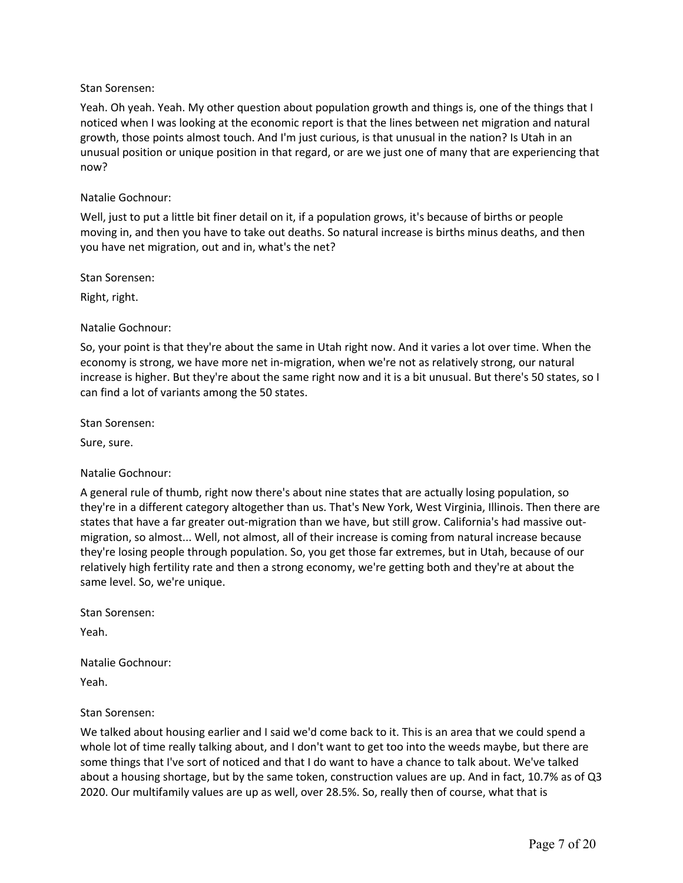Yeah. Oh yeah. Yeah. My other question about population growth and things is, one of the things that I noticed when I was looking at the economic report is that the lines between net migration and natural growth, those points almost touch. And I'm just curious, is that unusual in the nation? Is Utah in an unusual position or unique position in that regard, or are we just one of many that are experiencing that now?

### Natalie Gochnour:

Well, just to put a little bit finer detail on it, if a population grows, it's because of births or people moving in, and then you have to take out deaths. So natural increase is births minus deaths, and then you have net migration, out and in, what's the net?

Stan Sorensen:

Right, right.

### Natalie Gochnour:

So, your point is that they're about the same in Utah right now. And it varies a lot over time. When the economy is strong, we have more net in-migration, when we're not as relatively strong, our natural increase is higher. But they're about the same right now and it is a bit unusual. But there's 50 states, so I can find a lot of variants among the 50 states.

Stan Sorensen:

Sure, sure.

Natalie Gochnour:

A general rule of thumb, right now there's about nine states that are actually losing population, so they're in a different category altogether than us. That's New York, West Virginia, Illinois. Then there are states that have a far greater out-migration than we have, but still grow. California's had massive outmigration, so almost... Well, not almost, all of their increase is coming from natural increase because they're losing people through population. So, you get those far extremes, but in Utah, because of our relatively high fertility rate and then a strong economy, we're getting both and they're at about the same level. So, we're unique.

Stan Sorensen:

Yeah.

Natalie Gochnour:

Yeah.

Stan Sorensen:

We talked about housing earlier and I said we'd come back to it. This is an area that we could spend a whole lot of time really talking about, and I don't want to get too into the weeds maybe, but there are some things that I've sort of noticed and that I do want to have a chance to talk about. We've talked about a housing shortage, but by the same token, construction values are up. And in fact, 10.7% as of Q3 2020. Our multifamily values are up as well, over 28.5%. So, really then of course, what that is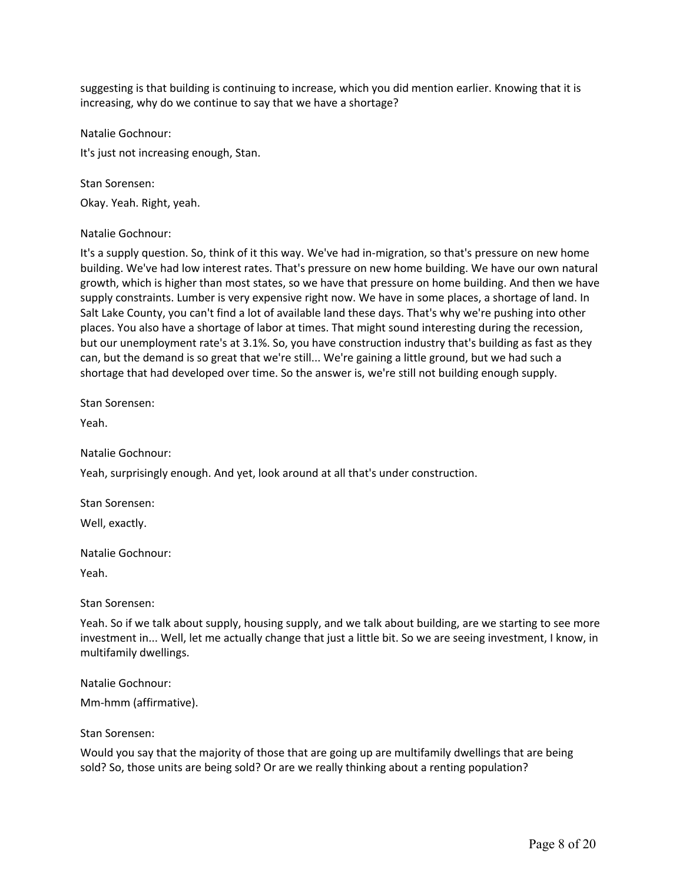suggesting is that building is continuing to increase, which you did mention earlier. Knowing that it is increasing, why do we continue to say that we have a shortage?

Natalie Gochnour:

It's just not increasing enough, Stan.

Stan Sorensen:

Okay. Yeah. Right, yeah.

### Natalie Gochnour:

It's a supply question. So, think of it this way. We've had in-migration, so that's pressure on new home building. We've had low interest rates. That's pressure on new home building. We have our own natural growth, which is higher than most states, so we have that pressure on home building. And then we have supply constraints. Lumber is very expensive right now. We have in some places, a shortage of land. In Salt Lake County, you can't find a lot of available land these days. That's why we're pushing into other places. You also have a shortage of labor at times. That might sound interesting during the recession, but our unemployment rate's at 3.1%. So, you have construction industry that's building as fast as they can, but the demand is so great that we're still... We're gaining a little ground, but we had such a shortage that had developed over time. So the answer is, we're still not building enough supply.

Stan Sorensen:

Yeah.

Natalie Gochnour:

Yeah, surprisingly enough. And yet, look around at all that's under construction.

Stan Sorensen: Well, exactly.

Natalie Gochnour:

Yeah.

Stan Sorensen:

Yeah. So if we talk about supply, housing supply, and we talk about building, are we starting to see more investment in... Well, let me actually change that just a little bit. So we are seeing investment, I know, in multifamily dwellings.

Natalie Gochnour:

Mm-hmm (affirmative).

#### Stan Sorensen:

Would you say that the majority of those that are going up are multifamily dwellings that are being sold? So, those units are being sold? Or are we really thinking about a renting population?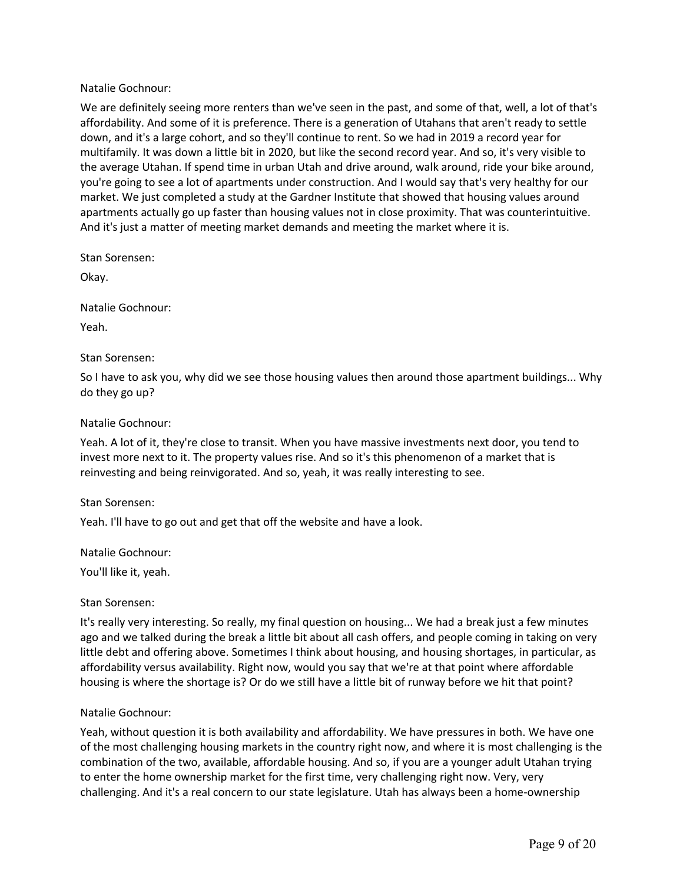Natalie Gochnour:

We are definitely seeing more renters than we've seen in the past, and some of that, well, a lot of that's affordability. And some of it is preference. There is a generation of Utahans that aren't ready to settle down, and it's a large cohort, and so they'll continue to rent. So we had in 2019 a record year for multifamily. It was down a little bit in 2020, but like the second record year. And so, it's very visible to the average Utahan. If spend time in urban Utah and drive around, walk around, ride your bike around, you're going to see a lot of apartments under construction. And I would say that's very healthy for our market. We just completed a study at the Gardner Institute that showed that housing values around apartments actually go up faster than housing values not in close proximity. That was counterintuitive. And it's just a matter of meeting market demands and meeting the market where it is.

Stan Sorensen:

Okay.

Natalie Gochnour:

Yeah.

### Stan Sorensen:

So I have to ask you, why did we see those housing values then around those apartment buildings... Why do they go up?

### Natalie Gochnour:

Yeah. A lot of it, they're close to transit. When you have massive investments next door, you tend to invest more next to it. The property values rise. And so it's this phenomenon of a market that is reinvesting and being reinvigorated. And so, yeah, it was really interesting to see.

#### Stan Sorensen:

Yeah. I'll have to go out and get that off the website and have a look.

Natalie Gochnour:

You'll like it, yeah.

Stan Sorensen:

It's really very interesting. So really, my final question on housing... We had a break just a few minutes ago and we talked during the break a little bit about all cash offers, and people coming in taking on very little debt and offering above. Sometimes I think about housing, and housing shortages, in particular, as affordability versus availability. Right now, would you say that we're at that point where affordable housing is where the shortage is? Or do we still have a little bit of runway before we hit that point?

#### Natalie Gochnour:

Yeah, without question it is both availability and affordability. We have pressures in both. We have one of the most challenging housing markets in the country right now, and where it is most challenging is the combination of the two, available, affordable housing. And so, if you are a younger adult Utahan trying to enter the home ownership market for the first time, very challenging right now. Very, very challenging. And it's a real concern to our state legislature. Utah has always been a home-ownership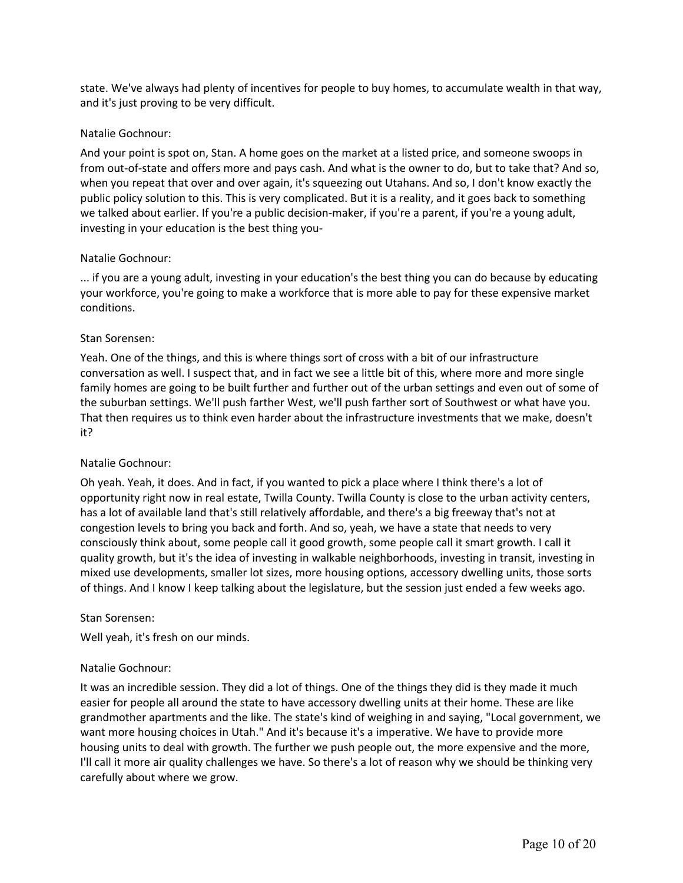state. We've always had plenty of incentives for people to buy homes, to accumulate wealth in that way, and it's just proving to be very difficult.

## Natalie Gochnour:

And your point is spot on, Stan. A home goes on the market at a listed price, and someone swoops in from out-of-state and offers more and pays cash. And what is the owner to do, but to take that? And so, when you repeat that over and over again, it's squeezing out Utahans. And so, I don't know exactly the public policy solution to this. This is very complicated. But it is a reality, and it goes back to something we talked about earlier. If you're a public decision-maker, if you're a parent, if you're a young adult, investing in your education is the best thing you-

### Natalie Gochnour:

... if you are a young adult, investing in your education's the best thing you can do because by educating your workforce, you're going to make a workforce that is more able to pay for these expensive market conditions.

## Stan Sorensen:

Yeah. One of the things, and this is where things sort of cross with a bit of our infrastructure conversation as well. I suspect that, and in fact we see a little bit of this, where more and more single family homes are going to be built further and further out of the urban settings and even out of some of the suburban settings. We'll push farther West, we'll push farther sort of Southwest or what have you. That then requires us to think even harder about the infrastructure investments that we make, doesn't it?

## Natalie Gochnour:

Oh yeah. Yeah, it does. And in fact, if you wanted to pick a place where I think there's a lot of opportunity right now in real estate, Twilla County. Twilla County is close to the urban activity centers, has a lot of available land that's still relatively affordable, and there's a big freeway that's not at congestion levels to bring you back and forth. And so, yeah, we have a state that needs to very consciously think about, some people call it good growth, some people call it smart growth. I call it quality growth, but it's the idea of investing in walkable neighborhoods, investing in transit, investing in mixed use developments, smaller lot sizes, more housing options, accessory dwelling units, those sorts of things. And I know I keep talking about the legislature, but the session just ended a few weeks ago.

## Stan Sorensen:

Well yeah, it's fresh on our minds.

## Natalie Gochnour:

It was an incredible session. They did a lot of things. One of the things they did is they made it much easier for people all around the state to have accessory dwelling units at their home. These are like grandmother apartments and the like. The state's kind of weighing in and saying, "Local government, we want more housing choices in Utah." And it's because it's a imperative. We have to provide more housing units to deal with growth. The further we push people out, the more expensive and the more, I'll call it more air quality challenges we have. So there's a lot of reason why we should be thinking very carefully about where we grow.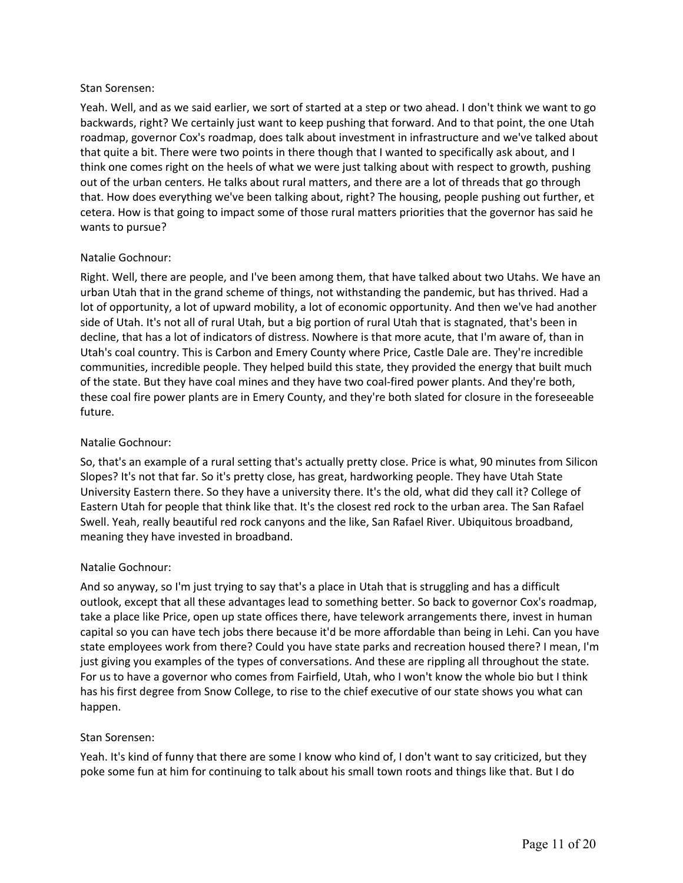Yeah. Well, and as we said earlier, we sort of started at a step or two ahead. I don't think we want to go backwards, right? We certainly just want to keep pushing that forward. And to that point, the one Utah roadmap, governor Cox's roadmap, does talk about investment in infrastructure and we've talked about that quite a bit. There were two points in there though that I wanted to specifically ask about, and I think one comes right on the heels of what we were just talking about with respect to growth, pushing out of the urban centers. He talks about rural matters, and there are a lot of threads that go through that. How does everything we've been talking about, right? The housing, people pushing out further, et cetera. How is that going to impact some of those rural matters priorities that the governor has said he wants to pursue?

## Natalie Gochnour:

Right. Well, there are people, and I've been among them, that have talked about two Utahs. We have an urban Utah that in the grand scheme of things, not withstanding the pandemic, but has thrived. Had a lot of opportunity, a lot of upward mobility, a lot of economic opportunity. And then we've had another side of Utah. It's not all of rural Utah, but a big portion of rural Utah that is stagnated, that's been in decline, that has a lot of indicators of distress. Nowhere is that more acute, that I'm aware of, than in Utah's coal country. This is Carbon and Emery County where Price, Castle Dale are. They're incredible communities, incredible people. They helped build this state, they provided the energy that built much of the state. But they have coal mines and they have two coal-fired power plants. And they're both, these coal fire power plants are in Emery County, and they're both slated for closure in the foreseeable future.

### Natalie Gochnour:

So, that's an example of a rural setting that's actually pretty close. Price is what, 90 minutes from Silicon Slopes? It's not that far. So it's pretty close, has great, hardworking people. They have Utah State University Eastern there. So they have a university there. It's the old, what did they call it? College of Eastern Utah for people that think like that. It's the closest red rock to the urban area. The San Rafael Swell. Yeah, really beautiful red rock canyons and the like, San Rafael River. Ubiquitous broadband, meaning they have invested in broadband.

## Natalie Gochnour:

And so anyway, so I'm just trying to say that's a place in Utah that is struggling and has a difficult outlook, except that all these advantages lead to something better. So back to governor Cox's roadmap, take a place like Price, open up state offices there, have telework arrangements there, invest in human capital so you can have tech jobs there because it'd be more affordable than being in Lehi. Can you have state employees work from there? Could you have state parks and recreation housed there? I mean, I'm just giving you examples of the types of conversations. And these are rippling all throughout the state. For us to have a governor who comes from Fairfield, Utah, who I won't know the whole bio but I think has his first degree from Snow College, to rise to the chief executive of our state shows you what can happen.

#### Stan Sorensen:

Yeah. It's kind of funny that there are some I know who kind of, I don't want to say criticized, but they poke some fun at him for continuing to talk about his small town roots and things like that. But I do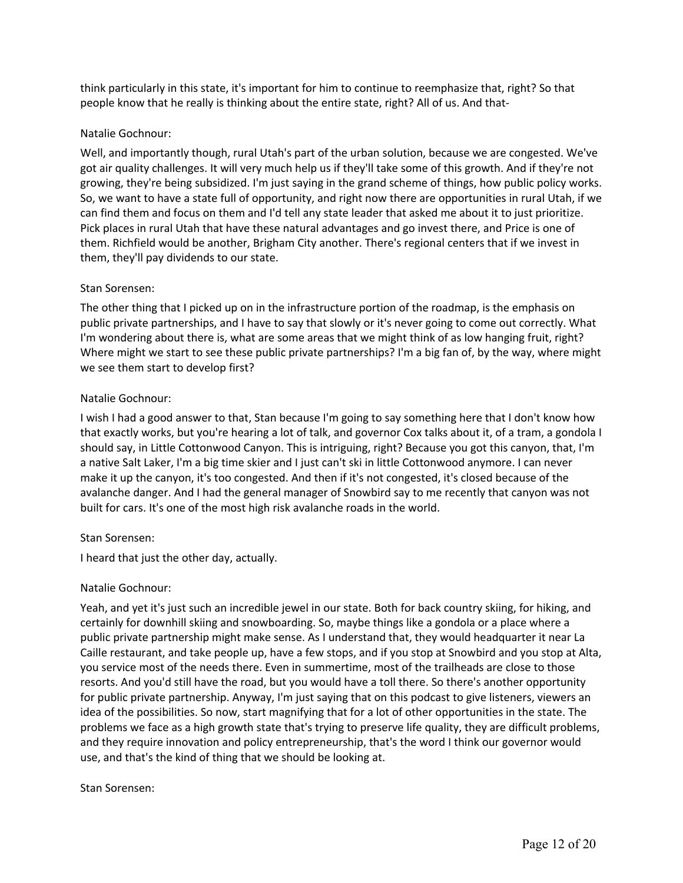think particularly in this state, it's important for him to continue to reemphasize that, right? So that people know that he really is thinking about the entire state, right? All of us. And that-

## Natalie Gochnour:

Well, and importantly though, rural Utah's part of the urban solution, because we are congested. We've got air quality challenges. It will very much help us if they'll take some of this growth. And if they're not growing, they're being subsidized. I'm just saying in the grand scheme of things, how public policy works. So, we want to have a state full of opportunity, and right now there are opportunities in rural Utah, if we can find them and focus on them and I'd tell any state leader that asked me about it to just prioritize. Pick places in rural Utah that have these natural advantages and go invest there, and Price is one of them. Richfield would be another, Brigham City another. There's regional centers that if we invest in them, they'll pay dividends to our state.

## Stan Sorensen:

The other thing that I picked up on in the infrastructure portion of the roadmap, is the emphasis on public private partnerships, and I have to say that slowly or it's never going to come out correctly. What I'm wondering about there is, what are some areas that we might think of as low hanging fruit, right? Where might we start to see these public private partnerships? I'm a big fan of, by the way, where might we see them start to develop first?

## Natalie Gochnour:

I wish I had a good answer to that, Stan because I'm going to say something here that I don't know how that exactly works, but you're hearing a lot of talk, and governor Cox talks about it, of a tram, a gondola I should say, in Little Cottonwood Canyon. This is intriguing, right? Because you got this canyon, that, I'm a native Salt Laker, I'm a big time skier and I just can't ski in little Cottonwood anymore. I can never make it up the canyon, it's too congested. And then if it's not congested, it's closed because of the avalanche danger. And I had the general manager of Snowbird say to me recently that canyon was not built for cars. It's one of the most high risk avalanche roads in the world.

## Stan Sorensen:

I heard that just the other day, actually.

## Natalie Gochnour:

Yeah, and yet it's just such an incredible jewel in our state. Both for back country skiing, for hiking, and certainly for downhill skiing and snowboarding. So, maybe things like a gondola or a place where a public private partnership might make sense. As I understand that, they would headquarter it near La Caille restaurant, and take people up, have a few stops, and if you stop at Snowbird and you stop at Alta, you service most of the needs there. Even in summertime, most of the trailheads are close to those resorts. And you'd still have the road, but you would have a toll there. So there's another opportunity for public private partnership. Anyway, I'm just saying that on this podcast to give listeners, viewers an idea of the possibilities. So now, start magnifying that for a lot of other opportunities in the state. The problems we face as a high growth state that's trying to preserve life quality, they are difficult problems, and they require innovation and policy entrepreneurship, that's the word I think our governor would use, and that's the kind of thing that we should be looking at.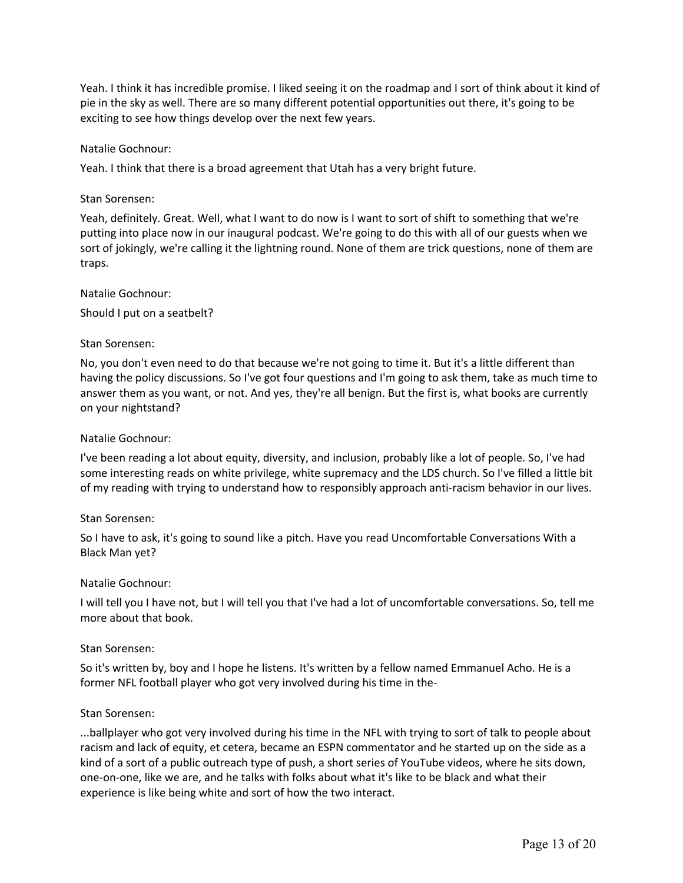Yeah. I think it has incredible promise. I liked seeing it on the roadmap and I sort of think about it kind of pie in the sky as well. There are so many different potential opportunities out there, it's going to be exciting to see how things develop over the next few years.

### Natalie Gochnour:

Yeah. I think that there is a broad agreement that Utah has a very bright future.

#### Stan Sorensen:

Yeah, definitely. Great. Well, what I want to do now is I want to sort of shift to something that we're putting into place now in our inaugural podcast. We're going to do this with all of our guests when we sort of jokingly, we're calling it the lightning round. None of them are trick questions, none of them are traps.

### Natalie Gochnour:

Should I put on a seatbelt?

### Stan Sorensen:

No, you don't even need to do that because we're not going to time it. But it's a little different than having the policy discussions. So I've got four questions and I'm going to ask them, take as much time to answer them as you want, or not. And yes, they're all benign. But the first is, what books are currently on your nightstand?

#### Natalie Gochnour:

I've been reading a lot about equity, diversity, and inclusion, probably like a lot of people. So, I've had some interesting reads on white privilege, white supremacy and the LDS church. So I've filled a little bit of my reading with trying to understand how to responsibly approach anti-racism behavior in our lives.

#### Stan Sorensen:

So I have to ask, it's going to sound like a pitch. Have you read Uncomfortable Conversations With a Black Man yet?

#### Natalie Gochnour:

I will tell you I have not, but I will tell you that I've had a lot of uncomfortable conversations. So, tell me more about that book.

#### Stan Sorensen:

So it's written by, boy and I hope he listens. It's written by a fellow named Emmanuel Acho. He is a former NFL football player who got very involved during his time in the-

#### Stan Sorensen:

...ballplayer who got very involved during his time in the NFL with trying to sort of talk to people about racism and lack of equity, et cetera, became an ESPN commentator and he started up on the side as a kind of a sort of a public outreach type of push, a short series of YouTube videos, where he sits down, one-on-one, like we are, and he talks with folks about what it's like to be black and what their experience is like being white and sort of how the two interact.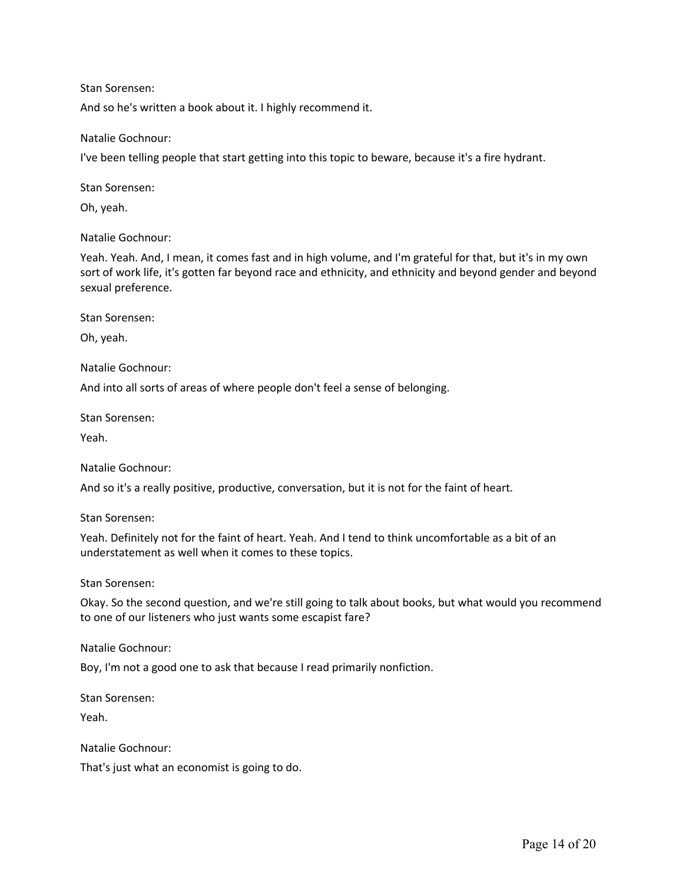And so he's written a book about it. I highly recommend it.

### Natalie Gochnour:

I've been telling people that start getting into this topic to beware, because it's a fire hydrant.

Stan Sorensen:

Oh, yeah.

Natalie Gochnour:

Yeah. Yeah. And, I mean, it comes fast and in high volume, and I'm grateful for that, but it's in my own sort of work life, it's gotten far beyond race and ethnicity, and ethnicity and beyond gender and beyond sexual preference.

Stan Sorensen:

Oh, yeah.

Natalie Gochnour:

And into all sorts of areas of where people don't feel a sense of belonging.

Stan Sorensen:

Yeah.

Natalie Gochnour:

And so it's a really positive, productive, conversation, but it is not for the faint of heart.

Stan Sorensen:

Yeah. Definitely not for the faint of heart. Yeah. And I tend to think uncomfortable as a bit of an understatement as well when it comes to these topics.

Stan Sorensen:

Okay. So the second question, and we're still going to talk about books, but what would you recommend to one of our listeners who just wants some escapist fare?

Natalie Gochnour:

Boy, I'm not a good one to ask that because I read primarily nonfiction.

Stan Sorensen:

Yeah.

Natalie Gochnour:

That's just what an economist is going to do.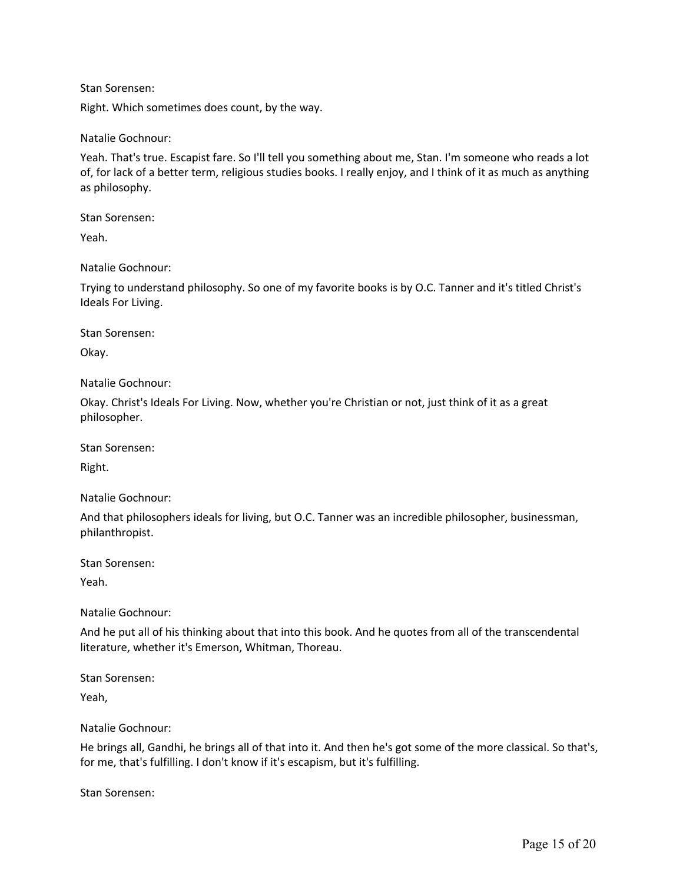Right. Which sometimes does count, by the way.

Natalie Gochnour:

Yeah. That's true. Escapist fare. So I'll tell you something about me, Stan. I'm someone who reads a lot of, for lack of a better term, religious studies books. I really enjoy, and I think of it as much as anything as philosophy.

Stan Sorensen:

Yeah.

Natalie Gochnour:

Trying to understand philosophy. So one of my favorite books is by O.C. Tanner and it's titled Christ's Ideals For Living.

Stan Sorensen:

Okay.

Natalie Gochnour:

Okay. Christ's Ideals For Living. Now, whether you're Christian or not, just think of it as a great philosopher.

Stan Sorensen:

Right.

Natalie Gochnour:

And that philosophers ideals for living, but O.C. Tanner was an incredible philosopher, businessman, philanthropist.

Stan Sorensen:

Yeah.

Natalie Gochnour:

And he put all of his thinking about that into this book. And he quotes from all of the transcendental literature, whether it's Emerson, Whitman, Thoreau.

Stan Sorensen:

Yeah,

Natalie Gochnour:

He brings all, Gandhi, he brings all of that into it. And then he's got some of the more classical. So that's, for me, that's fulfilling. I don't know if it's escapism, but it's fulfilling.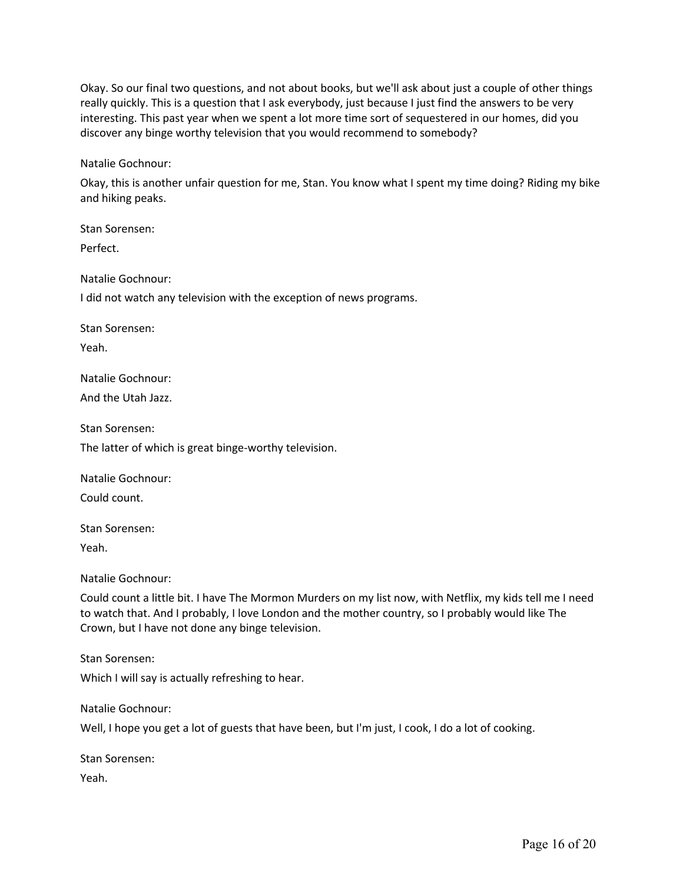Okay. So our final two questions, and not about books, but we'll ask about just a couple of other things really quickly. This is a question that I ask everybody, just because I just find the answers to be very interesting. This past year when we spent a lot more time sort of sequestered in our homes, did you discover any binge worthy television that you would recommend to somebody?

Natalie Gochnour:

Okay, this is another unfair question for me, Stan. You know what I spent my time doing? Riding my bike and hiking peaks.

Stan Sorensen:

Perfect.

Natalie Gochnour:

I did not watch any television with the exception of news programs.

Stan Sorensen:

Yeah.

Natalie Gochnour:

And the Utah Jazz.

Stan Sorensen:

The latter of which is great binge-worthy television.

Natalie Gochnour:

Could count.

Stan Sorensen:

Yeah.

Natalie Gochnour:

Could count a little bit. I have The Mormon Murders on my list now, with Netflix, my kids tell me I need to watch that. And I probably, I love London and the mother country, so I probably would like The Crown, but I have not done any binge television.

Stan Sorensen:

Which I will say is actually refreshing to hear.

Natalie Gochnour:

Well, I hope you get a lot of guests that have been, but I'm just, I cook, I do a lot of cooking.

Stan Sorensen:

Yeah.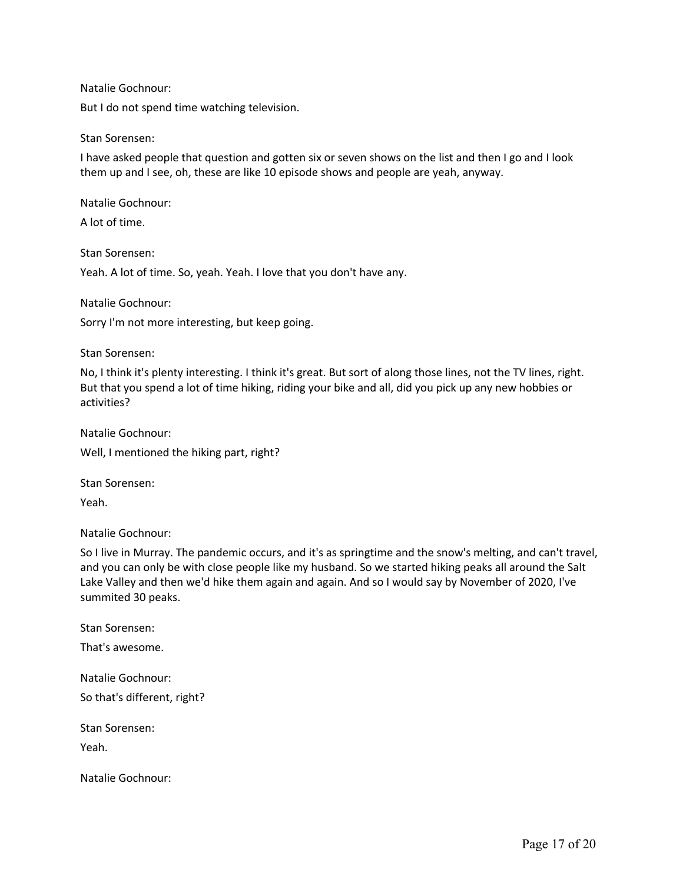Natalie Gochnour:

But I do not spend time watching television.

#### Stan Sorensen:

I have asked people that question and gotten six or seven shows on the list and then I go and I look them up and I see, oh, these are like 10 episode shows and people are yeah, anyway.

Natalie Gochnour:

A lot of time.

Stan Sorensen:

Yeah. A lot of time. So, yeah. Yeah. I love that you don't have any.

Natalie Gochnour:

Sorry I'm not more interesting, but keep going.

Stan Sorensen:

No, I think it's plenty interesting. I think it's great. But sort of along those lines, not the TV lines, right. But that you spend a lot of time hiking, riding your bike and all, did you pick up any new hobbies or activities?

Natalie Gochnour: Well, I mentioned the hiking part, right?

Stan Sorensen:

Yeah.

Natalie Gochnour:

So I live in Murray. The pandemic occurs, and it's as springtime and the snow's melting, and can't travel, and you can only be with close people like my husband. So we started hiking peaks all around the Salt Lake Valley and then we'd hike them again and again. And so I would say by November of 2020, I've summited 30 peaks.

Stan Sorensen:

That's awesome.

Natalie Gochnour:

So that's different, right?

Stan Sorensen:

Yeah.

Natalie Gochnour: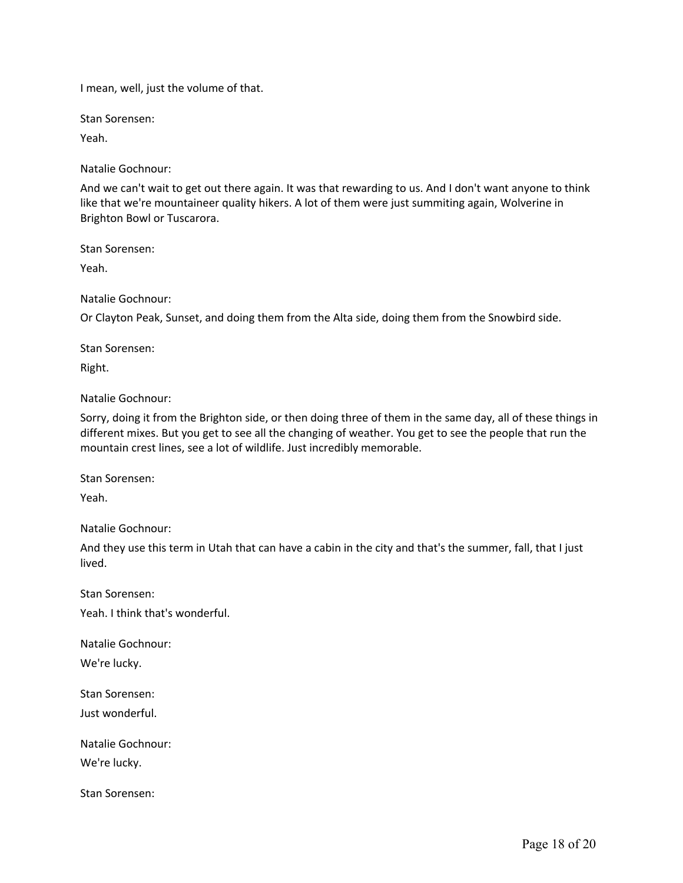I mean, well, just the volume of that.

Stan Sorensen:

Yeah.

Natalie Gochnour:

And we can't wait to get out there again. It was that rewarding to us. And I don't want anyone to think like that we're mountaineer quality hikers. A lot of them were just summiting again, Wolverine in Brighton Bowl or Tuscarora.

Stan Sorensen:

Yeah.

Natalie Gochnour:

Or Clayton Peak, Sunset, and doing them from the Alta side, doing them from the Snowbird side.

Stan Sorensen:

Right.

Natalie Gochnour:

Sorry, doing it from the Brighton side, or then doing three of them in the same day, all of these things in different mixes. But you get to see all the changing of weather. You get to see the people that run the mountain crest lines, see a lot of wildlife. Just incredibly memorable.

Stan Sorensen:

Yeah.

Natalie Gochnour:

And they use this term in Utah that can have a cabin in the city and that's the summer, fall, that I just lived.

Stan Sorensen: Yeah. I think that's wonderful.

Natalie Gochnour:

We're lucky.

Stan Sorensen:

Just wonderful.

Natalie Gochnour:

We're lucky.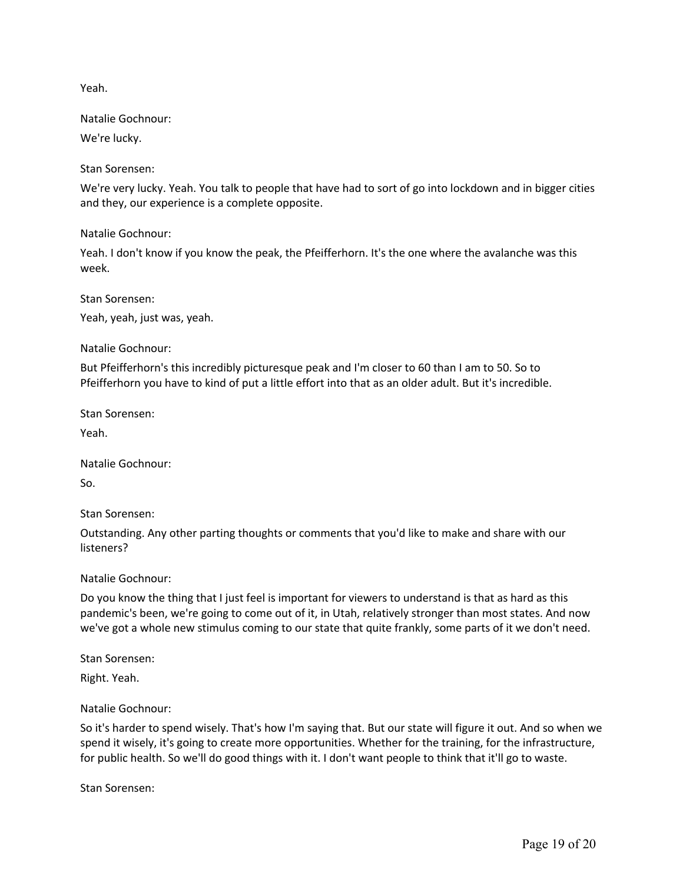Yeah.

Natalie Gochnour:

We're lucky.

Stan Sorensen:

We're very lucky. Yeah. You talk to people that have had to sort of go into lockdown and in bigger cities and they, our experience is a complete opposite.

Natalie Gochnour:

Yeah. I don't know if you know the peak, the Pfeifferhorn. It's the one where the avalanche was this week.

Stan Sorensen:

Yeah, yeah, just was, yeah.

Natalie Gochnour:

But Pfeifferhorn's this incredibly picturesque peak and I'm closer to 60 than I am to 50. So to Pfeifferhorn you have to kind of put a little effort into that as an older adult. But it's incredible.

Stan Sorensen:

Yeah.

Natalie Gochnour:

So.

Stan Sorensen:

Outstanding. Any other parting thoughts or comments that you'd like to make and share with our listeners?

Natalie Gochnour:

Do you know the thing that I just feel is important for viewers to understand is that as hard as this pandemic's been, we're going to come out of it, in Utah, relatively stronger than most states. And now we've got a whole new stimulus coming to our state that quite frankly, some parts of it we don't need.

Stan Sorensen:

Right. Yeah.

Natalie Gochnour:

So it's harder to spend wisely. That's how I'm saying that. But our state will figure it out. And so when we spend it wisely, it's going to create more opportunities. Whether for the training, for the infrastructure, for public health. So we'll do good things with it. I don't want people to think that it'll go to waste.